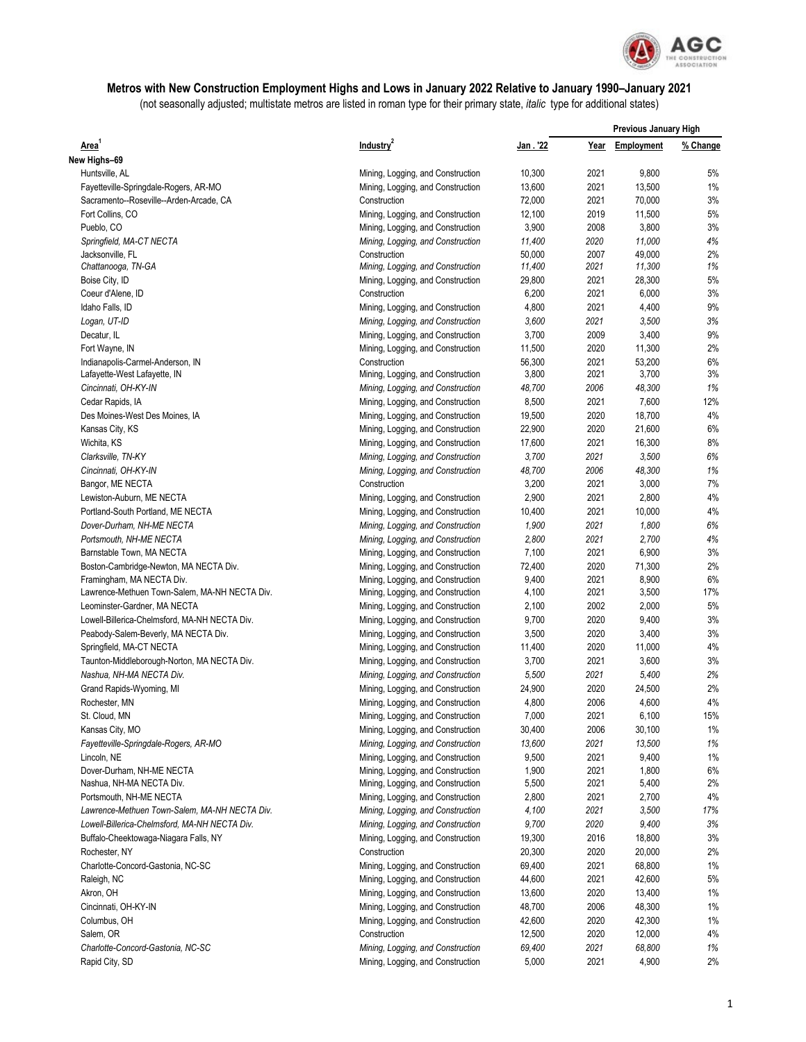

## **Metros with New Construction Employment Highs and Lows in January 2022 Relative to January 1990–January 2021**

(not seasonally adjusted; multistate metros are listed in roman type for their primary state, *italic* type for additional states)

| Area <sup>1</sup>                                                       | Industry <sup>2</sup>                                                  | Jan . '22       | <b>Previous January High</b> |                 |              |
|-------------------------------------------------------------------------|------------------------------------------------------------------------|-----------------|------------------------------|-----------------|--------------|
|                                                                         |                                                                        |                 | Year                         | Employment      | % Change     |
| New Highs-69                                                            |                                                                        |                 |                              |                 |              |
| Huntsville, AL                                                          | Mining, Logging, and Construction                                      | 10,300          | 2021                         | 9,800           | 5%           |
| Fayetteville-Springdale-Rogers, AR-MO                                   | Mining, Logging, and Construction                                      | 13,600          | 2021                         | 13,500          | 1%           |
| Sacramento--Roseville--Arden-Arcade, CA                                 | Construction                                                           | 72,000          | 2021                         | 70,000          | 3%           |
| Fort Collins, CO                                                        | Mining, Logging, and Construction                                      | 12,100          | 2019                         | 11,500          | 5%           |
| Pueblo, CO                                                              | Mining, Logging, and Construction                                      | 3,900           | 2008                         | 3,800           | 3%           |
| Springfield, MA-CT NECTA                                                | Mining, Logging, and Construction                                      | 11,400          | 2020                         | 11.000          | 4%           |
| Jacksonville, FL                                                        | Construction                                                           | 50,000          | 2007                         | 49,000          | 2%           |
| Chattanooga, TN-GA                                                      | Mining, Logging, and Construction                                      | 11,400          | 2021                         | 11,300          | 1%           |
| Boise City, ID                                                          | Mining, Logging, and Construction                                      | 29,800          | 2021                         | 28,300          | 5%           |
| Coeur d'Alene, ID                                                       | Construction                                                           | 6,200           | 2021                         | 6,000           | 3%           |
| Idaho Falls, ID                                                         | Mining, Logging, and Construction                                      | 4,800           | 2021                         | 4,400           | 9%           |
| Logan, UT-ID                                                            | Mining, Logging, and Construction                                      | 3,600           | 2021                         | 3,500           | 3%           |
| Decatur, IL                                                             | Mining, Logging, and Construction                                      | 3,700           | 2009                         | 3,400           | 9%           |
| Fort Wayne, IN                                                          | Mining, Logging, and Construction                                      | 11,500          | 2020                         | 11,300          | 2%           |
| Indianapolis-Carmel-Anderson, IN                                        | Construction                                                           | 56,300          | 2021                         | 53,200          | 6%           |
| Lafayette-West Lafayette, IN                                            | Mining, Logging, and Construction                                      | 3,800           | 2021                         | 3,700           | 3%           |
| Cincinnati, OH-KY-IN                                                    | Mining, Logging, and Construction                                      | 48,700          | 2006                         | 48,300          | 1%           |
| Cedar Rapids, IA                                                        | Mining, Logging, and Construction                                      | 8,500           | 2021                         | 7,600           | 12%          |
| Des Moines-West Des Moines, IA                                          | Mining, Logging, and Construction                                      | 19,500          | 2020                         | 18,700          | 4%           |
| Kansas City, KS                                                         | Mining, Logging, and Construction                                      | 22,900          | 2020                         | 21,600          | 6%           |
| Wichita, KS                                                             | Mining, Logging, and Construction                                      | 17,600          | 2021                         | 16,300          | 8%           |
| Clarksville, TN-KY                                                      | Mining, Logging, and Construction                                      | 3,700           | 2021                         | 3,500           | 6%           |
| Cincinnati, OH-KY-IN                                                    | Mining, Logging, and Construction                                      | 48,700          | 2006                         | 48,300          | 1%           |
| Bangor, ME NECTA                                                        | Construction                                                           | 3,200           | 2021                         | 3,000           | 7%           |
| Lewiston-Auburn, ME NECTA                                               | Mining, Logging, and Construction                                      | 2,900           | 2021                         | 2,800           | 4%           |
| Portland-South Portland, ME NECTA                                       | Mining, Logging, and Construction                                      | 10,400          | 2021                         | 10,000          | 4%           |
| Dover-Durham, NH-ME NECTA                                               | Mining, Logging, and Construction                                      | 1,900           | 2021                         | 1,800           | 6%           |
| Portsmouth, NH-ME NECTA                                                 | Mining, Logging, and Construction                                      | 2,800           | 2021                         | 2,700           | 4%           |
| Barnstable Town, MA NECTA                                               | Mining, Logging, and Construction                                      | 7,100           | 2021                         | 6,900           | 3%           |
| Boston-Cambridge-Newton, MA NECTA Div.                                  | Mining, Logging, and Construction                                      | 72,400          | 2020                         | 71,300          | 2%           |
| Framingham, MA NECTA Div.                                               | Mining, Logging, and Construction                                      | 9,400           | 2021                         | 8,900           | 6%<br>17%    |
| Lawrence-Methuen Town-Salem, MA-NH NECTA Div.                           | Mining, Logging, and Construction                                      | 4,100           | 2021<br>2002                 | 3,500           | 5%           |
| Leominster-Gardner, MA NECTA                                            | Mining, Logging, and Construction                                      | 2,100           | 2020                         | 2,000           | 3%           |
| Lowell-Billerica-Chelmsford, MA-NH NECTA Div.                           | Mining, Logging, and Construction                                      | 9,700           | 2020                         | 9,400           | 3%           |
| Peabody-Salem-Beverly, MA NECTA Div.                                    | Mining, Logging, and Construction                                      | 3,500<br>11,400 | 2020                         | 3,400<br>11,000 | 4%           |
| Springfield, MA-CT NECTA                                                | Mining, Logging, and Construction                                      | 3,700           | 2021                         | 3,600           | 3%           |
| Taunton-Middleborough-Norton, MA NECTA Div.<br>Nashua, NH-MA NECTA Div. | Mining, Logging, and Construction                                      |                 | 2021                         |                 | 2%           |
|                                                                         | Mining, Logging, and Construction                                      | 5,500           |                              | 5,400           | 2%           |
| Grand Rapids-Wyoming, MI                                                | Mining, Logging, and Construction                                      | 24,900          | 2020                         | 24,500          | 4%           |
| Rochester, MN                                                           | Mining, Logging, and Construction                                      | 4,800           | 2006                         | 4,600           |              |
| St. Cloud, MN<br>Kansas City, MO                                        | Mining, Logging, and Construction                                      | 7,000<br>30,400 | 2021<br>2006                 | 6,100<br>30,100 | 15%<br>$1\%$ |
| Fayetteville-Springdale-Rogers, AR-MO                                   | Mining, Logging, and Construction<br>Mining, Logging, and Construction | 13,600          | 2021                         | 13,500          | 1%           |
| Lincoln, NE                                                             | Mining, Logging, and Construction                                      | 9,500           | 2021                         | 9,400           | $1\%$        |
| Dover-Durham, NH-ME NECTA                                               | Mining, Logging, and Construction                                      | 1,900           | 2021                         | 1,800           | 6%           |
| Nashua, NH-MA NECTA Div.                                                | Mining, Logging, and Construction                                      | 5,500           | 2021                         | 5,400           | 2%           |
| Portsmouth, NH-ME NECTA                                                 | Mining, Logging, and Construction                                      | 2,800           | 2021                         | 2,700           | 4%           |
| Lawrence-Methuen Town-Salem, MA-NH NECTA Div.                           | Mining, Logging, and Construction                                      | 4,100           | 2021                         | 3,500           | 17%          |
| Lowell-Billerica-Chelmsford, MA-NH NECTA Div.                           | Mining, Logging, and Construction                                      | 9,700           | 2020                         | 9,400           | 3%           |
| Buffalo-Cheektowaga-Niagara Falls, NY                                   | Mining, Logging, and Construction                                      | 19,300          | 2016                         | 18,800          | 3%           |
| Rochester, NY                                                           | Construction                                                           | 20,300          | 2020                         | 20,000          | 2%           |
| Charlotte-Concord-Gastonia, NC-SC                                       | Mining, Logging, and Construction                                      | 69,400          | 2021                         | 68,800          | $1\%$        |
| Raleigh, NC                                                             | Mining, Logging, and Construction                                      | 44,600          | 2021                         | 42,600          | 5%           |
| Akron, OH                                                               | Mining, Logging, and Construction                                      | 13,600          | 2020                         | 13,400          | $1\%$        |
| Cincinnati, OH-KY-IN                                                    | Mining, Logging, and Construction                                      | 48,700          | 2006                         | 48,300          | 1%           |
| Columbus, OH                                                            | Mining, Logging, and Construction                                      | 42,600          | 2020                         | 42,300          | 1%           |
| Salem, OR                                                               | Construction                                                           | 12,500          | 2020                         | 12,000          | 4%           |
| Charlotte-Concord-Gastonia, NC-SC                                       | Mining, Logging, and Construction                                      | 69,400          | 2021                         | 68,800          | 1%           |
| Rapid City, SD                                                          | Mining, Logging, and Construction                                      | 5,000           | 2021                         | 4,900           | 2%           |
|                                                                         |                                                                        |                 |                              |                 |              |